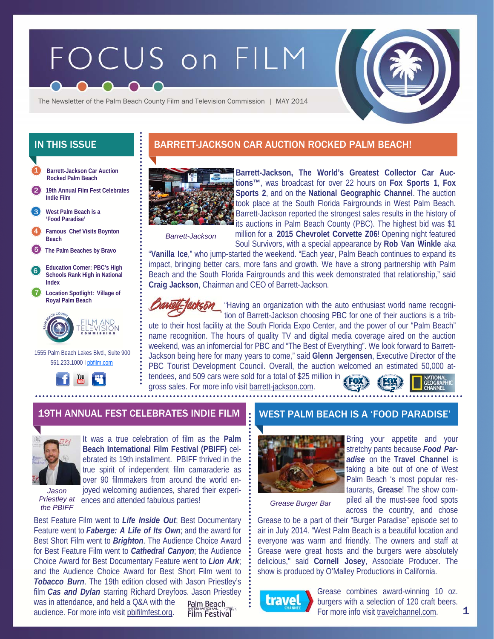# FOCUS on FILM



The Newsletter of the Palm Beach County Film and Television Commission | MAY 2014

- **Barrett-Jackson Car Auction Rocked Palm Beach**  1
- 2 **19th Annual Film Fest Celebrates Indie Film**

**West Palm Beach is a 'Food Paradise'**  3



- 5 **The Palm Beaches by Bravo**
- 6 **Education Corner: PBC's High Schools Rank High in National Index**
- 7 **Location Spotlight: Village of Royal Palm Beach**



 1555 Palm Beach Lakes Blvd., Suite 900 561.233.1000 I pbfilm.com



## IN THIS ISSUE **BARRETT-JACKSON CAR AUCTION ROCKED PALM BEACH!**



**Barrett-Jackson, The World's Greatest Collector Car Auctions™**, was broadcast for over 22 hours on **Fox Sports 1**, **Fox Sports 2**, and on the **National Geographic Channel**. The auction took place at the South Florida Fairgrounds in West Palm Beach. Barrett-Jackson reported the strongest sales results in the history of its auctions in Palm Beach County (PBC). The highest bid was \$1 million for a **2015 Chevrolet Corvette Z06**! Opening night featured

*Barrett-Jackson* 

Soul Survivors, with a special appearance by **Rob Van Winkle** aka

"**Vanilla Ice**," who jump-started the weekend. "Each year, Palm Beach continues to expand its impact, bringing better cars, more fans and growth. We have a strong partnership with Palm Beach and the South Florida Fairgrounds and this week demonstrated that relationship," said **Craig Jackson**, Chairman and CEO of Barrett-Jackson.



**Ackson** "Having an organization with the auto enthusiast world name recognition of Barrett-Jackson choosing PBC for one of their auctions is a trib-

ute to their host facility at the South Florida Expo Center, and the power of our "Palm Beach" name recognition. The hours of quality TV and digital media coverage aired on the auction weekend, was an infomercial for PBC and "The Best of Everything". We look forward to Barrett-Jackson being here for many years to come," said **Glenn Jergensen**, Executive Director of the PBC Tourist Development Council. Overall, the auction welcomed an estimated 50,000 attendees, and 509 cars were sold for a total of \$25 million in

gross sales. For more info visit barrett-jackson.com.



#### 19TH ANNUAL FEST CELEBRATES INDIE FILM WEST PALM BEACH IS A 'FOOD PARADISE'



It was a true celebration of film as the **Palm Beach International Film Festival (PBIFF)** celebrated its 19th installment. PBIFF thrived in the true spirit of independent film camaraderie as over 90 filmmakers from around the world enjoyed welcoming audiences, shared their experi-

*Jason* 

Priestley at ences and attended fabulous parties!<br> *the PBIFF Crease Burger Bar* 

Best Feature Film went to *Life Inside Out*; Best Documentary Feature went to *Faberge: A Life of Its Own*; and the award for Best Short Film went to *Brighton*. The Audience Choice Award for Best Feature Film went to *Cathedral Canyon*; the Audience Choice Award for Best Documentary Feature went to *Lion Ark*; and the Audience Choice Award for Best Short Film went to *Tobacco Burn*. The 19th edition closed with Jason Priestley's film *Cas and Dylan* starring Richard Dreyfoos. Jason Priestley

was in attendance, and held a Q&A with the audience. For more info visit pbifilmfest.org.

Palm Beach **Film Festival** 



Bring your appetite and your stretchy pants because *Food Paradise* on the **Travel Channel** is taking a bite out of one of West Palm Beach 's most popular restaurants, **Grease**! The show compiled all the must-see food spots across the country, and chose

Grease to be a part of their "Burger Paradise" episode set to air in July 2014. "West Palm Beach is a beautiful location and everyone was warm and friendly. The owners and staff at Grease were great hosts and the burgers were absolutely delicious," said **Cornell Josey**, Associate Producer. The show is produced by O'Malley Productions in California.



Grease combines award-winning 10 oz. burgers with a selection of 120 craft beers. For more info visit travelchannel.com.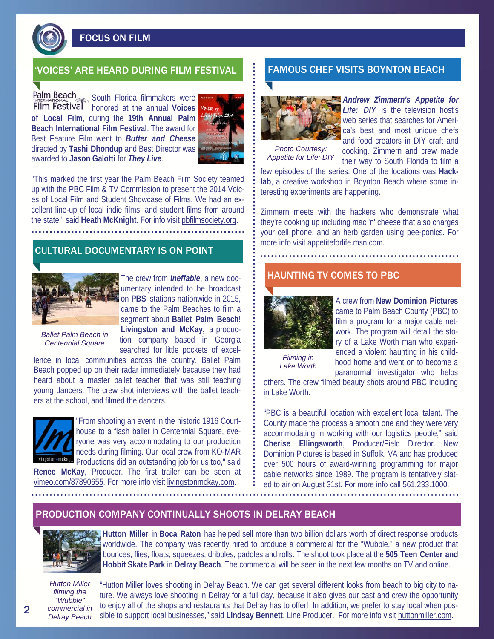

FOCUS ON FILM

#### 'VOICES' ARE HEARD DURING FILM FESTIVAL FAMOUS CHEF VISITS BOYNTON BEACH

Palm Beach<br> **South Florida filmmakers were**<br> **South Florida filmmakers were Film Festival honored** at the annual **Voices of Local Film**, during the **19th Annual Palm Beach International Film Festival**. The award for Best Feature Film went to *Butter and Cheese* directed by **Tashi Dhondup** and Best Director was awarded to **Jason Galotti** for *They Live*.



"This marked the first year the Palm Beach Film Society teamed up with the PBC Film & TV Commission to present the 2014 Voices of Local Film and Student Showcase of Films. We had an excellent line-up of local indie films, and student films from around the state," said **Heath McKnight**. For info visit pbfilmsociety.org.

## CULTURAL DOCUMENTARY IS ON POINT



The crew from *Ineffable*, a new documentary intended to be broadcast on **PBS** stations nationwide in 2015, came to the Palm Beaches to film a segment about **Ballet Palm Beach**! **Livingston and McKay,** a production company based in Georgia searched for little pockets of excel-

*Ballet Palm Beach in Centennial Square* 

lence in local communities across the country. Ballet Palm Beach popped up on their radar immediately because they had heard about a master ballet teacher that was still teaching young dancers. The crew shot interviews with the ballet teachers at the school, and filmed the dancers.



"From shooting an event in the historic 1916 Courthouse to a flash ballet in Centennial Square, everyone was very accommodating to our production needs during filming. Our local crew from KO-MAR Productions did an outstanding job for us too," said

**Renee McKay**, Producer. The first trailer can be seen at vimeo.com/87890655. For more info visit livingstonmckay.com.



*Andrew Zimmern's Appetite for*  **Life:** DIY is the television host's web series that searches for America's best and most unique chefs and food creators in DIY craft and

*Photo Courtesy: Appetite for Life: DIY* 

cooking. Zimmern and crew made their way to South Florida to film a few episodes of the series. One of the locations was **Hack-**

**lab**, a creative workshop in Boynton Beach where some interesting experiments are happening.

Zimmern meets with the hackers who demonstrate what they're cooking up including mac 'n' cheese that also charges your cell phone, and an herb garden using pee-ponics. For more info visit appetiteforlife.msn.com.

#### HAUNTING TV COMES TO PBC



A crew from **New Dominion Pictures**  came to Palm Beach County (PBC) to film a program for a major cable network. The program will detail the story of a Lake Worth man who experienced a violent haunting in his childhood home and went on to become a paranormal investigator who helps

*Filming in Lake Worth* 

others. The crew filmed beauty shots around PBC including in Lake Worth.

"PBC is a beautiful location with excellent local talent. The County made the process a smooth one and they were very accommodating in working with our logistics people," said **Cherise Ellingsworth**, Producer/Field Director. New Dominion Pictures is based in Suffolk, VA and has produced over 500 hours of award-winning programming for major cable networks since 1989. The program is tentatively slated to air on August 31st. For more info call 561.233.1000.

#### PRODUCTION COMPANY CONTINUALLY SHOOTS IN DELRAY BEACH



**Hutton Miller** in **Boca Raton** has helped sell more than two billion dollars worth of direct response products worldwide. The company was recently hired to produce a commercial for the "Wubble," a new product that bounces, flies, floats, squeezes, dribbles, paddles and rolls. The shoot took place at the **505 Teen Center and Hobbit Skate Park** in **Delray Beach**. The commercial will be seen in the next few months on TV and online.

*Hutton Miller filming the "Wubble" commercial in Delray Beach* 

"Hutton Miller loves shooting in Delray Beach. We can get several different looks from beach to big city to nature. We always love shooting in Delray for a full day, because it also gives our cast and crew the opportunity to enjoy all of the shops and restaurants that Delray has to offer! In addition, we prefer to stay local when possible to support local businesses," said **Lindsay Bennett**, Line Producer. For more info visit huttonmiller.com.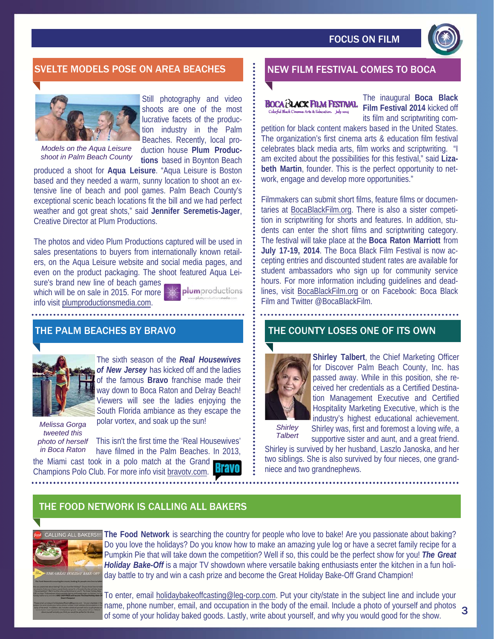

### SVELTE MODELS POSE ON AREA BEACHES NEW FILM FESTIVAL COMES TO BOCA



Still photography and video shoots are one of the most lucrative facets of the production industry in the Palm Beaches. Recently, local production house **Plum Produc-**

**tions** based in Boynton Beach

*Models on the Aqua Leisure shoot in Palm Beach County* 

produced a shoot for **Aqua Leisure**. "Aqua Leisure is Boston based and they needed a warm, sunny location to shoot an extensive line of beach and pool games. Palm Beach County's exceptional scenic beach locations fit the bill and we had perfect weather and got great shots," said **Jennifer Seremetis-Jager**, Creative Director at Plum Productions.

The photos and video Plum Productions captured will be used in sales presentations to buyers from internationally known retailers, on the Aqua Leisure website and social media pages, and even on the product packaging. The shoot featured Aqua Leisure's brand new line of beach games

which will be on sale in 2015. For more info visit plumproductionsmedia.com.

plumproductions

#### THE PALM BEACHES BY BRAVO



The sixth season of the *Real Housewives of New Jersey* has kicked off and the ladies of the famous **Bravo** franchise made their way down to Boca Raton and Delray Beach! Viewers will see the ladies enjoying the South Florida ambiance as they escape the polar vortex, and soak up the sun!

*Melissa Gorga tweeted this photo of herself in Boca Raton* 

This isn't the first time the 'Real Housewives' have filmed in the Palm Beaches. In 2013,

the Miami cast took in a polo match at the Grand Champions Polo Club. For more info visit bravotv.com.

#### BOCA ALACK FILM FESTIVAL Colorful Black Cinema: Arts & Education. hely 2014

The inaugural **Boca Black Film Festival 2014** kicked off its film and scriptwriting com-

petition for black content makers based in the United States. The organization's first cinema arts & education film festival celebrates black media arts, film works and scriptwriting. "I am excited about the possibilities for this festival," said **Lizabeth Martin**, founder. This is the perfect opportunity to network, engage and develop more opportunities."

Filmmakers can submit short films, feature films or documentaries at BocaBlackFilm.org. There is also a sister competition in scriptwriting for shorts and features. In addition, students can enter the short films and scriptwriting category. The festival will take place at the **Boca Raton Marriott** from **July 17-19, 2014**. The Boca Black Film Festival is now accepting entries and discounted student rates are available for student ambassadors who sign up for community service hours. For more information including guidelines and deadlines, visit BocaBlackFilm.org or on Facebook: Boca Black Film and Twitter @BocaBlackFilm.

#### THE COUNTY LOSES ONE OF ITS OWN



**Shirley Talbert**, the Chief Marketing Officer for Discover Palm Beach County, Inc. has passed away. While in this position, she received her credentials as a Certified Destination Management Executive and Certified Hospitality Marketing Executive, which is the industry's highest educational achievement.

*Shirley Talbert*  Shirley was, first and foremost a loving wife, a supportive sister and aunt, and a great friend.

Shirley is survived by her husband, Laszlo Janoska, and her two siblings. She is also survived by four nieces, one grandniece and two grandnephews.

## THE FOOD NETWORK IS CALLING ALL BAKERS



**The Food Network** is searching the country for people who love to bake! Are you passionate about baking? Do you love the holidays? Do you know how to make an amazing yule log or have a secret family recipe for a Pumpkin Pie that will take down the competition? Well if so, this could be the perfect show for you! *The Great Holiday Bake-Off* is a major TV showdown where versatile baking enthusiasts enter the kitchen in a fun holiday battle to try and win a cash prize and become the Great Holiday Bake-Off Grand Champion!

To enter, email holidaybakeoffcasting@leg-corp.com. Put your city/state in the subject line and include your name, phone number, email, and occupation in the body of the email. Include a photo of yourself and photos 3<br>of some of your boliday baked goods, Lastly, write about yourself, and why you would good for the show of some of your holiday baked goods. Lastly, write about yourself, and why you would good for the show.